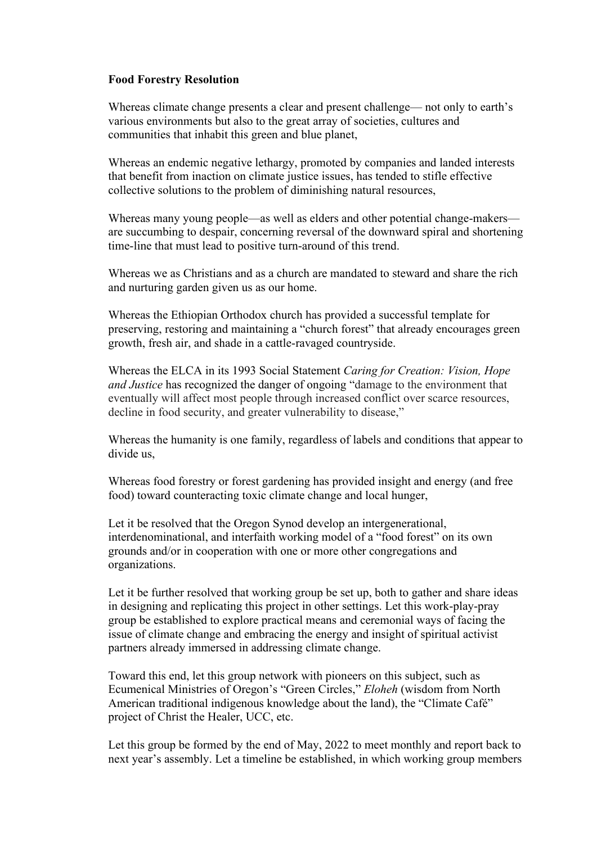## **Food Forestry Resolution**

Whereas climate change presents a clear and present challenge— not only to earth's various environments but also to the great array of societies, cultures and communities that inhabit this green and blue planet,

Whereas an endemic negative lethargy, promoted by companies and landed interests that benefit from inaction on climate justice issues, has tended to stifle effective collective solutions to the problem of diminishing natural resources,

Whereas many young people—as well as elders and other potential change-makers are succumbing to despair, concerning reversal of the downward spiral and shortening time-line that must lead to positive turn-around of this trend.

Whereas we as Christians and as a church are mandated to steward and share the rich and nurturing garden given us as our home.

Whereas the Ethiopian Orthodox church has provided a successful template for preserving, restoring and maintaining a "church forest" that already encourages green growth, fresh air, and shade in a cattle-ravaged countryside.

Whereas the ELCA in its 1993 Social Statement *Caring for Creation: Vision, Hope and Justice* has recognized the danger of ongoing "damage to the environment that eventually will affect most people through increased conflict over scarce resources, decline in food security, and greater vulnerability to disease,"

Whereas the humanity is one family, regardless of labels and conditions that appear to divide us,

Whereas food forestry or forest gardening has provided insight and energy (and free food) toward counteracting toxic climate change and local hunger,

Let it be resolved that the Oregon Synod develop an intergenerational, interdenominational, and interfaith working model of a "food forest" on its own grounds and/or in cooperation with one or more other congregations and organizations.

Let it be further resolved that working group be set up, both to gather and share ideas in designing and replicating this project in other settings. Let this work-play-pray group be established to explore practical means and ceremonial ways of facing the issue of climate change and embracing the energy and insight of spiritual activist partners already immersed in addressing climate change.

Toward this end, let this group network with pioneers on this subject, such as Ecumenical Ministries of Oregon's "Green Circles," *Eloheh* (wisdom from North American traditional indigenous knowledge about the land), the "Climate Café" project of Christ the Healer, UCC, etc.

Let this group be formed by the end of May, 2022 to meet monthly and report back to next year's assembly. Let a timeline be established, in which working group members